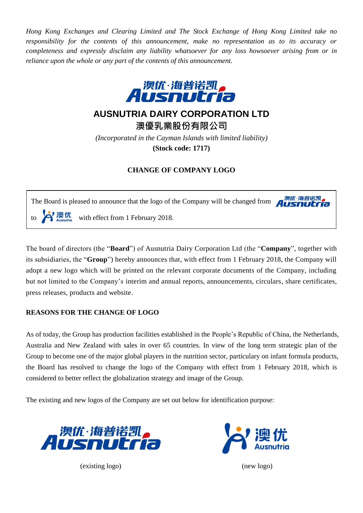*Hong Kong Exchanges and Clearing Limited and The Stock Exchange of Hong Kong Limited take no responsibility for the contents of this announcement, make no representation as to its accuracy or completeness and expressly disclaim any liability whatsoever for any loss howsoever arising from or in reliance upon the whole or any part of the contents of this announcement.*



## **AUSNUTRIA DAIRY CORPORATION LTD**

**澳優乳業股份有限公司**

*(Incorporated in the Cayman Islands with limited liability)* **(Stock code: 1717)**

## **CHANGE OF COMPANY LOGO**

澳优·海普诺凯 The Board is pleased to announce that the logo of the Company will be changed from  $\mathbf{A}^{\text{H}}$ to  $\sum_{\text{Assumption}}$  with effect from 1 February 2018.

The board of directors (the "**Board**") of Ausnutria Dairy Corporation Ltd (the "**Company**", together with its subsidiaries, the "**Group**") hereby announces that, with effect from 1 February 2018, the Company will adopt a new logo which will be printed on the relevant corporate documents of the Company, including but not limited to the Company's interim and annual reports, announcements, circulars, share certificates, press releases, products and website.

## **REASONS FOR THE CHANGE OF LOGO**

As of today, the Group has production facilities established in the People's Republic of China, the Netherlands, Australia and New Zealand with sales in over 65 countries. In view of the long term strategic plan of the Group to become one of the major global players in the nutrition sector, particulary on infant formula products, the Board has resolved to change the logo of the Company with effect from 1 February 2018, which is considered to better reflect the globalization strategy and image of the Group.

The existing and new logos of the Company are set out below for identification purpose:



(existing logo) (new logo)